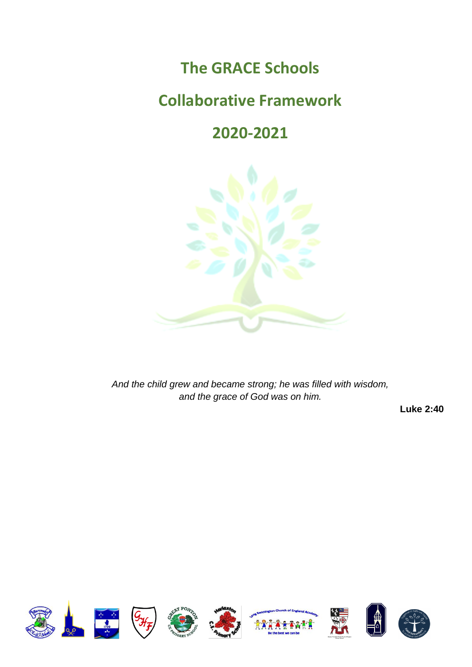# **The GRACE Schools**

# **Collaborative Framework**

# **2020-2021**



*And the child grew and became strong; he was filled with wisdom, and the grace of God was on him.*

**Luke 2:40**

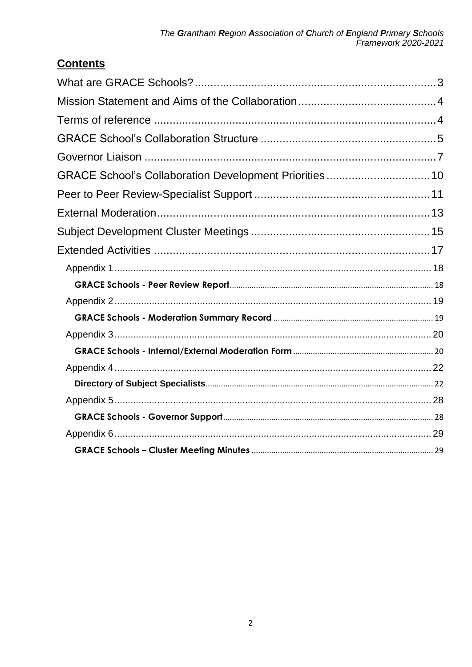# **Contents**

| GRACE School's Collaboration Development Priorities 10 |  |
|--------------------------------------------------------|--|
|                                                        |  |
|                                                        |  |
|                                                        |  |
|                                                        |  |
|                                                        |  |
|                                                        |  |
|                                                        |  |
|                                                        |  |
|                                                        |  |
|                                                        |  |
|                                                        |  |
|                                                        |  |
|                                                        |  |
|                                                        |  |
|                                                        |  |
|                                                        |  |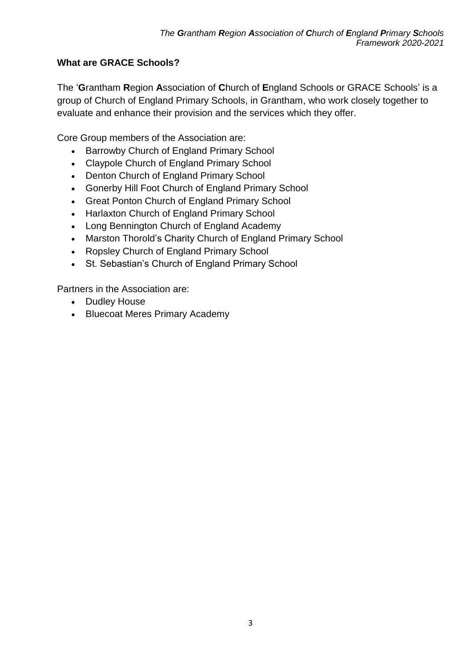## <span id="page-2-0"></span>**What are GRACE Schools?**

The '**G**rantham **R**egion **A**ssociation of **C**hurch of **E**ngland Schools or GRACE Schools' is a group of Church of England Primary Schools, in Grantham, who work closely together to evaluate and enhance their provision and the services which they offer.

Core Group members of the Association are:

- Barrowby Church of England Primary School
- Claypole Church of England Primary School
- Denton Church of England Primary School
- Gonerby Hill Foot Church of England Primary School
- Great Ponton Church of England Primary School
- Harlaxton Church of England Primary School
- Long Bennington Church of England Academy
- Marston Thorold's Charity Church of England Primary School
- Ropsley Church of England Primary School
- St. Sebastian's Church of England Primary School

Partners in the Association are:

- Dudley House
- Bluecoat Meres Primary Academy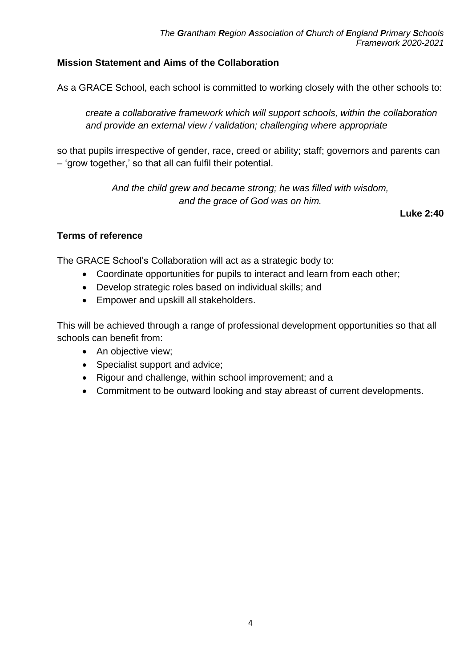### <span id="page-3-0"></span>**Mission Statement and Aims of the Collaboration**

As a GRACE School, each school is committed to working closely with the other schools to:

*create a collaborative framework which will support schools, within the collaboration and provide an external view / validation; challenging where appropriate*

so that pupils irrespective of gender, race, creed or ability; staff; governors and parents can – 'grow together,' so that all can fulfil their potential.

> *And the child grew and became strong; he was filled with wisdom, and the grace of God was on him.*

> > **Luke 2:40**

#### <span id="page-3-1"></span>**Terms of reference**

The GRACE School's Collaboration will act as a strategic body to:

- Coordinate opportunities for pupils to interact and learn from each other;
- Develop strategic roles based on individual skills; and
- Empower and upskill all stakeholders.

This will be achieved through a range of professional development opportunities so that all schools can benefit from:

- An objective view;
- Specialist support and advice;
- Rigour and challenge, within school improvement; and a
- Commitment to be outward looking and stay abreast of current developments.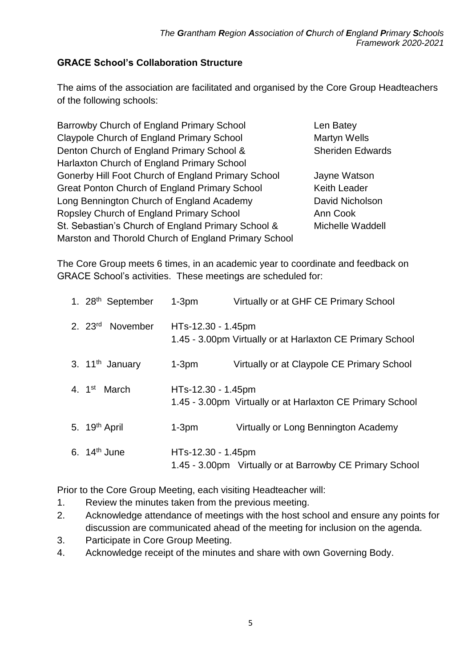#### <span id="page-4-0"></span>**GRACE School's Collaboration Structure**

The aims of the association are facilitated and organised by the Core Group Headteachers of the following schools:

Barrowby Church of England Primary School Len Batey Claypole Church of England Primary School Martyn Wells Denton Church of England Primary School & Sheriden Edwards Harlaxton Church of England Primary School Gonerby Hill Foot Church of England Primary School Jayne Watson Great Ponton Church of England Primary School Keith Leader Long Bennington Church of England Academy David Nicholson Ropsley Church of England Primary School Ann Cook St. Sebastian's Church of England Primary School & Michelle Waddell Marston and Thorold Church of England Primary School

The Core Group meets 6 times, in an academic year to coordinate and feedback on GRACE School's activities. These meetings are scheduled for:

| 1. 28 <sup>th</sup> September | $1-3pm$            | Virtually or at GHF CE Primary School                     |
|-------------------------------|--------------------|-----------------------------------------------------------|
| 2. 23 <sup>rd</sup> November  | HTs-12.30 - 1.45pm | 1.45 - 3.00pm Virtually or at Harlaxton CE Primary School |
| 3. 11 <sup>th</sup> January   | $1-3pm$            | Virtually or at Claypole CE Primary School                |
| 4. 1 <sup>st</sup> March      | HTs-12.30 - 1.45pm | 1.45 - 3.00pm Virtually or at Harlaxton CE Primary School |
| 5. 19 <sup>th</sup> April     | $1-3pm$            | Virtually or Long Bennington Academy                      |
| 6. $14th$ June                | HTs-12.30 - 1.45pm | 1.45 - 3.00pm Virtually or at Barrowby CE Primary School  |

Prior to the Core Group Meeting, each visiting Headteacher will:

- 1. Review the minutes taken from the previous meeting.
- 2. Acknowledge attendance of meetings with the host school and ensure any points for discussion are communicated ahead of the meeting for inclusion on the agenda.
- 3. Participate in Core Group Meeting.
- 4. Acknowledge receipt of the minutes and share with own Governing Body.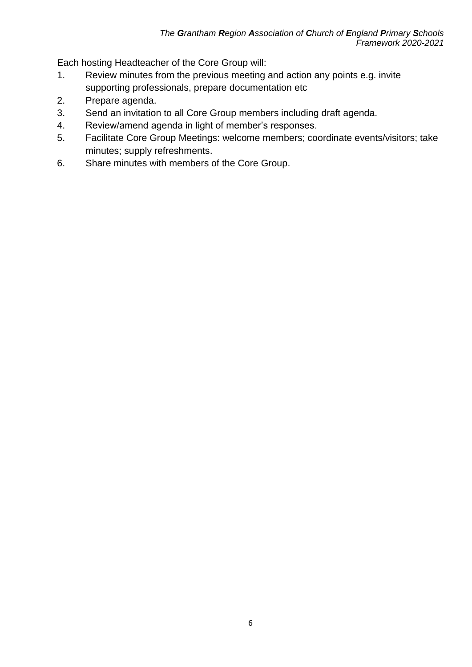Each hosting Headteacher of the Core Group will:

- 1. Review minutes from the previous meeting and action any points e.g. invite supporting professionals, prepare documentation etc
- 2. Prepare agenda.
- 3. Send an invitation to all Core Group members including draft agenda.
- 4. Review/amend agenda in light of member's responses.
- 5. Facilitate Core Group Meetings: welcome members; coordinate events/visitors; take minutes; supply refreshments.
- 6. Share minutes with members of the Core Group.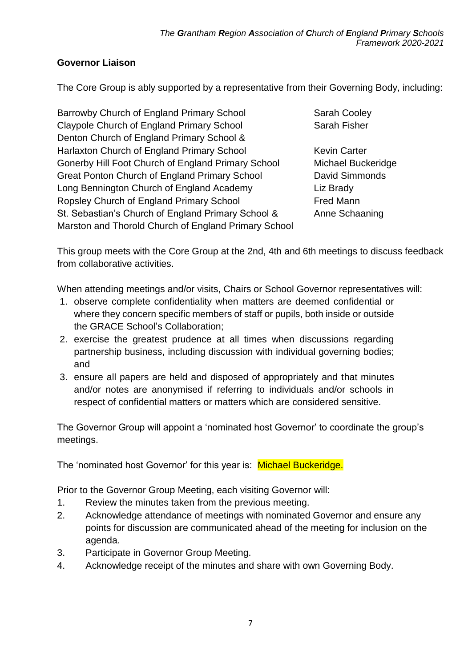### <span id="page-6-0"></span>**Governor Liaison**

The Core Group is ably supported by a representative from their Governing Body, including:

Barrowby Church of England Primary School Sarah Cooley Claypole Church of England Primary School Sarah Fisher Denton Church of England Primary School & Harlaxton Church of England Primary School Kevin Carter Gonerby Hill Foot Church of England Primary School Michael Buckeridge Great Ponton Church of England Primary School David Simmonds Long Bennington Church of England Academy Liz Brady Ropsley Church of England Primary School Fred Mann St. Sebastian's Church of England Primary School & Anne Schaaning Marston and Thorold Church of England Primary School

This group meets with the Core Group at the 2nd, 4th and 6th meetings to discuss feedback from collaborative activities.

When attending meetings and/or visits, Chairs or School Governor representatives will:

- 1. observe complete confidentiality when matters are deemed confidential or where they concern specific members of staff or pupils, both inside or outside the GRACE School's Collaboration;
- 2. exercise the greatest prudence at all times when discussions regarding partnership business, including discussion with individual governing bodies; and
- 3. ensure all papers are held and disposed of appropriately and that minutes and/or notes are anonymised if referring to individuals and/or schools in respect of confidential matters or matters which are considered sensitive.

The Governor Group will appoint a 'nominated host Governor' to coordinate the group's meetings.

The 'nominated host Governor' for this year is: Michael Buckeridge.

Prior to the Governor Group Meeting, each visiting Governor will:

- 1. Review the minutes taken from the previous meeting.
- 2. Acknowledge attendance of meetings with nominated Governor and ensure any points for discussion are communicated ahead of the meeting for inclusion on the agenda.
- 3. Participate in Governor Group Meeting.
- 4. Acknowledge receipt of the minutes and share with own Governing Body.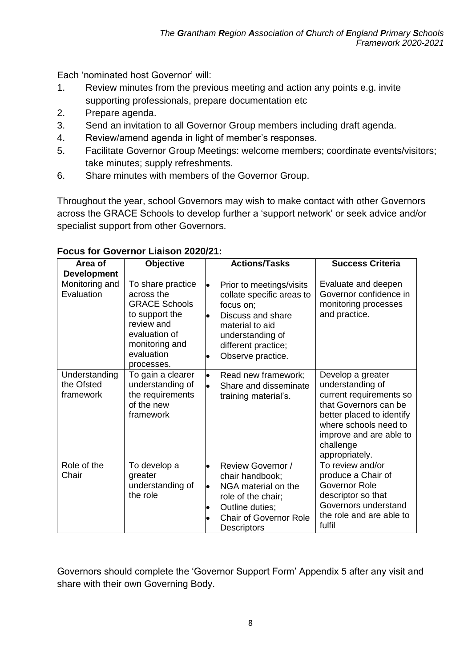Each 'nominated host Governor' will:

- 1. Review minutes from the previous meeting and action any points e.g. invite supporting professionals, prepare documentation etc
- 2. Prepare agenda.
- 3. Send an invitation to all Governor Group members including draft agenda.
- 4. Review/amend agenda in light of member's responses.
- 5. Facilitate Governor Group Meetings: welcome members; coordinate events/visitors; take minutes; supply refreshments.
- 6. Share minutes with members of the Governor Group.

Throughout the year, school Governors may wish to make contact with other Governors across the GRACE Schools to develop further a 'support network' or seek advice and/or specialist support from other Governors.

| Area of<br><b>Development</b>            | <b>Objective</b>                                                                                                                                       | <b>Actions/Tasks</b>                                                                                                                                                                                 | <b>Success Criteria</b>                                                                                                                                                                                   |
|------------------------------------------|--------------------------------------------------------------------------------------------------------------------------------------------------------|------------------------------------------------------------------------------------------------------------------------------------------------------------------------------------------------------|-----------------------------------------------------------------------------------------------------------------------------------------------------------------------------------------------------------|
| Monitoring and<br>Evaluation             | To share practice<br>across the<br><b>GRACE Schools</b><br>to support the<br>review and<br>evaluation of<br>monitoring and<br>evaluation<br>processes. | Prior to meetings/visits<br>$\bullet$<br>collate specific areas to<br>focus on;<br>Discuss and share<br>$\bullet$<br>material to aid<br>understanding of<br>different practice;<br>Observe practice. | Evaluate and deepen<br>Governor confidence in<br>monitoring processes<br>and practice.                                                                                                                    |
| Understanding<br>the Ofsted<br>framework | To gain a clearer<br>understanding of<br>the requirements<br>of the new<br>framework                                                                   | Read new framework;<br>$\bullet$<br>Share and disseminate<br>training material's.                                                                                                                    | Develop a greater<br>understanding of<br>current requirements so<br>that Governors can be<br>better placed to identify<br>where schools need to<br>improve and are able to<br>challenge<br>appropriately. |
| Role of the<br>Chair                     | To develop a<br>greater<br>understanding of<br>the role                                                                                                | <b>Review Governor /</b><br>$\bullet$<br>chair handbook;<br>NGA material on the<br>lo<br>role of the chair;<br>Outline duties;<br>$\bullet$<br><b>Chair of Governor Role</b><br><b>Descriptors</b>   | To review and/or<br>produce a Chair of<br>Governor Role<br>descriptor so that<br>Governors understand<br>the role and are able to<br>fulfil                                                               |

#### **Focus for Governor Liaison 2020/21:**

Governors should complete the 'Governor Support Form' Appendix 5 after any visit and share with their own Governing Body.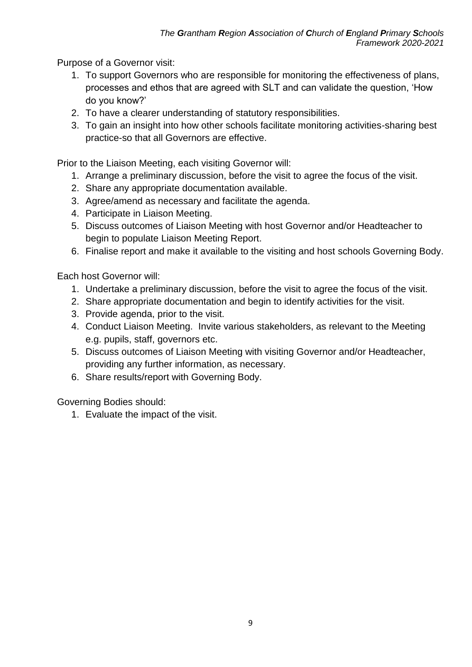Purpose of a Governor visit:

- 1. To support Governors who are responsible for monitoring the effectiveness of plans, processes and ethos that are agreed with SLT and can validate the question, 'How do you know?'
- 2. To have a clearer understanding of statutory responsibilities.
- 3. To gain an insight into how other schools facilitate monitoring activities-sharing best practice-so that all Governors are effective.

Prior to the Liaison Meeting, each visiting Governor will:

- 1. Arrange a preliminary discussion, before the visit to agree the focus of the visit.
- 2. Share any appropriate documentation available.
- 3. Agree/amend as necessary and facilitate the agenda.
- 4. Participate in Liaison Meeting.
- 5. Discuss outcomes of Liaison Meeting with host Governor and/or Headteacher to begin to populate Liaison Meeting Report.
- 6. Finalise report and make it available to the visiting and host schools Governing Body.

Each host Governor will:

- 1. Undertake a preliminary discussion, before the visit to agree the focus of the visit.
- 2. Share appropriate documentation and begin to identify activities for the visit.
- 3. Provide agenda, prior to the visit.
- 4. Conduct Liaison Meeting. Invite various stakeholders, as relevant to the Meeting e.g. pupils, staff, governors etc.
- 5. Discuss outcomes of Liaison Meeting with visiting Governor and/or Headteacher, providing any further information, as necessary.
- 6. Share results/report with Governing Body.

Governing Bodies should:

1. Evaluate the impact of the visit.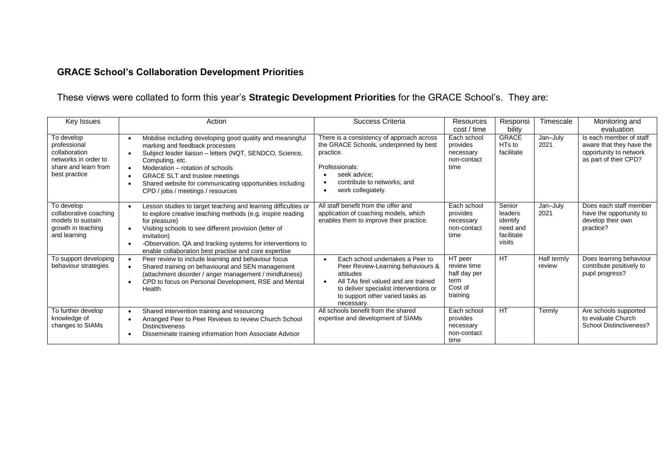# **GRACE School's Collaboration Development Priorities**

# These views were collated to form this year's **Strategic Development Priorities** for the GRACE School's. They are:

<span id="page-9-0"></span>

| Key Issues                                                                                                   | Action                                                                                                                                                                                                                                                                                                                                                                                                                   | Success Criteria                                                                                                                                                                                                                                | Resources<br>cost / time                                              | Responsi<br>bility                                                | Timescale             | Monitoring and<br>evaluation                                                                           |
|--------------------------------------------------------------------------------------------------------------|--------------------------------------------------------------------------------------------------------------------------------------------------------------------------------------------------------------------------------------------------------------------------------------------------------------------------------------------------------------------------------------------------------------------------|-------------------------------------------------------------------------------------------------------------------------------------------------------------------------------------------------------------------------------------------------|-----------------------------------------------------------------------|-------------------------------------------------------------------|-----------------------|--------------------------------------------------------------------------------------------------------|
| To develop<br>professional<br>collaboration<br>networks in order to<br>share and learn from<br>best practice | Mobilise including developing good quality and meaningful<br>$\bullet$<br>marking and feedback processes<br>Subject leader liaison - letters (NQT, SENDCO, Science,<br>$\bullet$<br>Computing, etc.<br>Moderation - rotation of schools<br>$\bullet$<br><b>GRACE SLT and trustee meetings</b><br>$\bullet$<br>Shared website for communicating opportunities including<br>$\bullet$<br>CPD / jobs / meetings / resources | There is a consistency of approach across<br>the GRACE Schools, underpinned by best<br>practice.<br>Professionals:<br>seek advice:<br>contribute to networks: and<br>work collegiately.<br>$\bullet$                                            | Each school<br>provides<br>necessary<br>non-contact<br>time           | <b>GRACE</b><br>HT <sub>s</sub> to<br>facilitate                  | Jan-July<br>2021      | Is each member of staff<br>aware that they have the<br>opportunity to network<br>as part of their CPD? |
| To develop<br>collaborative coaching<br>models to sustain<br>growth in teaching<br>and learning              | Lesson studies to target teaching and learning difficulties or<br>$\bullet$<br>to explore creative teaching methods (e.g. inspire reading<br>for pleasure)<br>Visiting schools to see different provision (letter of<br>$\bullet$<br>invitation)<br>-Observation, QA and tracking systems for interventions to<br>enable collaboration best practise and core expertise                                                  | All staff benefit from the offer and<br>application of coaching models, which<br>enables them to improve their practice.                                                                                                                        | Each school<br>provides<br>necessary<br>non-contact<br>time           | Senior<br>leaders<br>identify<br>need and<br>facilitate<br>visits | Jan-July<br>2021      | Does each staff member<br>have the opportunity to<br>develop their own<br>practice?                    |
| To support developing<br>behaviour strategies                                                                | Peer review to include learning and behaviour focus<br>$\bullet$<br>Shared training on behavioural and SEN management<br>$\bullet$<br>(attachment disorder / anger management / mindfulness)<br>CPD to focus on Personal Development, RSE and Mental<br>$\bullet$<br>Health                                                                                                                                              | Each school undertakes a Peer to<br>$\bullet$<br>Peer Review-Learning behaviours &<br>attitudes<br>All TAs feel valued and are trained<br>$\bullet$<br>to deliver specialist interventions or<br>to support other varied tasks as<br>necessary. | HT peer<br>review time<br>half day per<br>term<br>Cost of<br>training | <b>HT</b>                                                         | Half termly<br>review | Does learning behaviour<br>contribute positively to<br>pupil progress?                                 |
| To further develop<br>knowledge of<br>changes to SIAMs                                                       | Shared intervention training and resourcing<br>$\bullet$<br>Arranged Peer to Peer Reviews to review Church School<br>$\bullet$<br><b>Distinctiveness</b><br>Disseminate training information from Associate Advisor                                                                                                                                                                                                      | All schools benefit from the shared<br>expertise and development of SIAMs                                                                                                                                                                       | Each school<br>provides<br>necessary<br>non-contact<br>time           | <b>HT</b>                                                         | Termly                | Are schools supported<br>to evaluate Church<br>School Distinctiveness?                                 |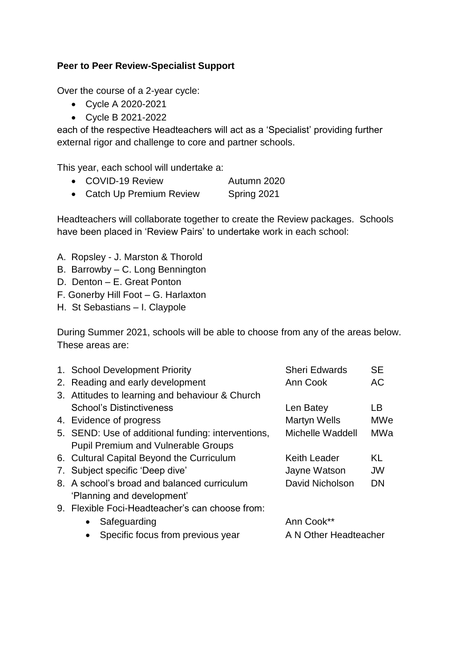#### <span id="page-10-0"></span>**Peer to Peer Review-Specialist Support**

Over the course of a 2-year cycle:

- Cycle A 2020-2021
- Cycle B 2021-2022

each of the respective Headteachers will act as a 'Specialist' providing further external rigor and challenge to core and partner schools.

This year, each school will undertake a:

- COVID-19 Review Autumn 2020
- Catch Up Premium Review Spring 2021

Headteachers will collaborate together to create the Review packages. Schools have been placed in 'Review Pairs' to undertake work in each school:

- A. Ropsley J. Marston & Thorold
- B. Barrowby C. Long Bennington
- D. Denton E. Great Ponton
- F. Gonerby Hill Foot G. Harlaxton
- H. St Sebastians I. Claypole

During Summer 2021, schools will be able to choose from any of the areas below. These areas are:

| 1. School Development Priority                     | <b>Sheri Edwards</b>  | <b>SE</b>  |
|----------------------------------------------------|-----------------------|------------|
| 2. Reading and early development                   | Ann Cook              | AC         |
| 3. Attitudes to learning and behaviour & Church    |                       |            |
| <b>School's Distinctiveness</b>                    | Len Batey             | LВ         |
| 4. Evidence of progress                            | <b>Martyn Wells</b>   | <b>MWe</b> |
| 5. SEND: Use of additional funding: interventions, | Michelle Waddell      | MWa        |
| <b>Pupil Premium and Vulnerable Groups</b>         |                       |            |
| 6. Cultural Capital Beyond the Curriculum          | <b>Keith Leader</b>   | KL         |
| 7. Subject specific 'Deep dive'                    | Jayne Watson          | <b>JW</b>  |
| 8. A school's broad and balanced curriculum        | David Nicholson       | DN         |
| 'Planning and development'                         |                       |            |
| 9. Flexible Foci-Headteacher's can choose from:    |                       |            |
| Safeguarding                                       | Ann Cook**            |            |
| Specific focus from previous year                  | A N Other Headteacher |            |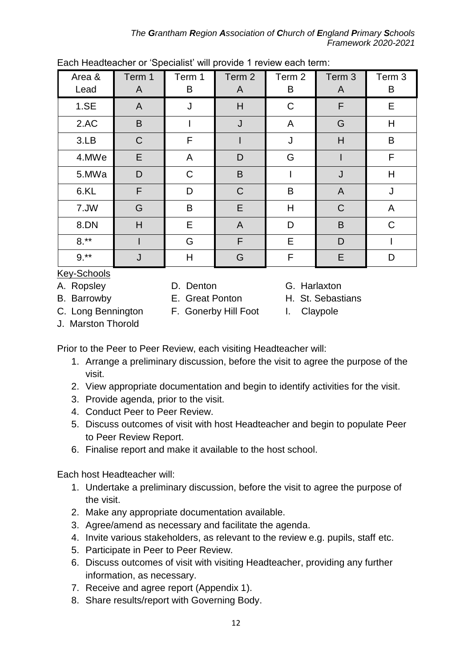*The Grantham Region Association of Church of England Primary Schools Framework 2020-2021*

| Area &<br>Lead | Term 1<br>A | Term 1<br>B | Term <sub>2</sub><br>A | Term 2<br>B | Term 3<br>A    | Term 3<br>B |
|----------------|-------------|-------------|------------------------|-------------|----------------|-------------|
| 1.SE           | A           | J           | H                      | $\mathsf C$ | F              | E           |
| 2.AC           | B           |             | J                      | A           | G              | H           |
| 3.LB           | $\mathsf C$ | F           |                        | J           | H              | B           |
| 4.MWe          | E           | A           | D                      | G           |                | F           |
| 5.MWa          | D           | $\mathsf C$ | B                      |             | J              | H           |
| 6.KL           | F           | D           | $\mathsf C$            | B           | $\overline{A}$ | J           |
| 7.JW           | G           | B           | E                      | H           | $\mathsf{C}$   | A           |
| 8.DN           | H           | E           | $\mathsf{A}$           | D           | B              | C           |
| $8.**$         |             | G           | F                      | E           | D              |             |
| $9.***$        | J           | Η           | G                      | F           | E              | D           |

Each Headteacher or 'Specialist' will provide 1 review each term:

Key-Schools

A. Ropsley **D. Denton** G. Harlaxton

B. Barrowby **E.** Great Ponton **H. St. Sebastians** 

C. Long Bennington F. Gonerby Hill Foot I. Claypole

J. Marston Thorold

Prior to the Peer to Peer Review, each visiting Headteacher will:

- 1. Arrange a preliminary discussion, before the visit to agree the purpose of the visit.
- 2. View appropriate documentation and begin to identify activities for the visit.
- 3. Provide agenda, prior to the visit.
- 4. Conduct Peer to Peer Review.
- 5. Discuss outcomes of visit with host Headteacher and begin to populate Peer to Peer Review Report.
- 6. Finalise report and make it available to the host school.

Each host Headteacher will:

- 1. Undertake a preliminary discussion, before the visit to agree the purpose of the visit.
- 2. Make any appropriate documentation available.
- 3. Agree/amend as necessary and facilitate the agenda.
- 4. Invite various stakeholders, as relevant to the review e.g. pupils, staff etc.
- 5. Participate in Peer to Peer Review.
- 6. Discuss outcomes of visit with visiting Headteacher, providing any further information, as necessary.
- 7. Receive and agree report (Appendix 1).
- 8. Share results/report with Governing Body.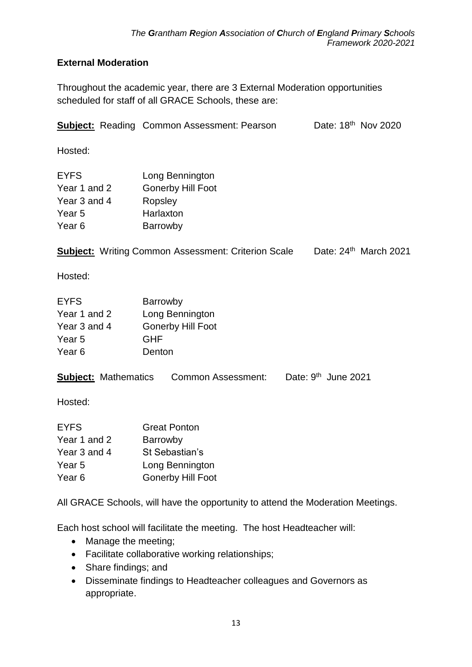## <span id="page-12-0"></span>**External Moderation**

Throughout the academic year, there are 3 External Moderation opportunities scheduled for staff of all GRACE Schools, these are:

|                                                                            | <b>Subject:</b> Reading Common Assessment: Pearson                                               | Date: 18 <sup>th</sup> Nov 2020 |                         |
|----------------------------------------------------------------------------|--------------------------------------------------------------------------------------------------|---------------------------------|-------------------------|
| Hosted:                                                                    |                                                                                                  |                                 |                         |
| <b>EYFS</b><br>Year 1 and 2<br>Year 3 and 4<br>Year <sub>5</sub><br>Year 6 | Long Bennington<br><b>Gonerby Hill Foot</b><br>Ropsley<br>Harlaxton<br>Barrowby                  |                                 |                         |
|                                                                            | <b>Subject:</b> Writing Common Assessment: Criterion Scale                                       |                                 | Date: $24th$ March 2021 |
| Hosted:                                                                    |                                                                                                  |                                 |                         |
| <b>EYFS</b><br>Year 1 and 2<br>Year 3 and 4<br>Year <sub>5</sub><br>Year 6 | Barrowby<br>Long Bennington<br><b>Gonerby Hill Foot</b><br><b>GHF</b><br>Denton                  |                                 |                         |
| <b>Subject:</b> Mathematics                                                | Common Assessment:                                                                               | Date: $9th$ June 2021           |                         |
| Hosted:                                                                    |                                                                                                  |                                 |                         |
| <b>EYFS</b><br>Year 1 and 2<br>Year 3 and 4<br>Year 5<br>Year <sub>6</sub> | <b>Great Ponton</b><br>Barrowby<br>St Sebastian's<br>Long Bennington<br><b>Gonerby Hill Foot</b> |                                 |                         |
|                                                                            | All GRACE Schools, will have the opportunity to attend the Moderation Meetings.                  |                                 |                         |
| Manage the meeting;                                                        | Each host school will facilitate the meeting. The host Headteacher will:                         |                                 |                         |

- Facilitate collaborative working relationships;
- Share findings; and
- Disseminate findings to Headteacher colleagues and Governors as appropriate.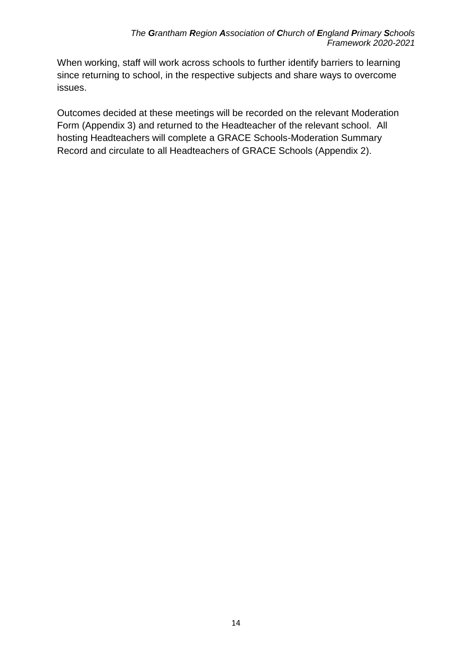When working, staff will work across schools to further identify barriers to learning since returning to school, in the respective subjects and share ways to overcome issues.

Outcomes decided at these meetings will be recorded on the relevant Moderation Form (Appendix 3) and returned to the Headteacher of the relevant school. All hosting Headteachers will complete a GRACE Schools-Moderation Summary Record and circulate to all Headteachers of GRACE Schools (Appendix 2).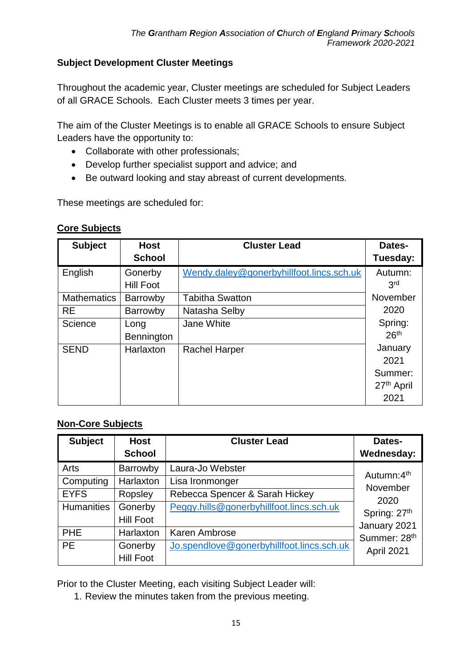#### <span id="page-14-0"></span>**Subject Development Cluster Meetings**

Throughout the academic year, Cluster meetings are scheduled for Subject Leaders of all GRACE Schools. Each Cluster meets 3 times per year.

The aim of the Cluster Meetings is to enable all GRACE Schools to ensure Subject Leaders have the opportunity to:

- Collaborate with other professionals;
- Develop further specialist support and advice; and
- Be outward looking and stay abreast of current developments.

These meetings are scheduled for:

#### **Core Subjects**

| <b>Subject</b>     | <b>Host</b><br><b>School</b> | <b>Cluster Lead</b>                      | Dates-<br>Tuesday:     |
|--------------------|------------------------------|------------------------------------------|------------------------|
| English            | Gonerby                      | Wendy.daley@gonerbyhillfoot.lincs.sch.uk | Autumn:                |
|                    | <b>Hill Foot</b>             |                                          | 3rd                    |
| <b>Mathematics</b> | Barrowby                     | <b>Tabitha Swatton</b>                   | November               |
| <b>RE</b>          | Barrowby                     | Natasha Selby                            | 2020                   |
| Science            | Long                         | Jane White                               | Spring:                |
|                    | Bennington                   |                                          | 26 <sup>th</sup>       |
| <b>SEND</b>        | Harlaxton                    | <b>Rachel Harper</b>                     | January                |
|                    |                              |                                          | 2021                   |
|                    |                              |                                          | Summer:                |
|                    |                              |                                          | 27 <sup>th</sup> April |
|                    |                              |                                          | 2021                   |

#### **Non-Core Subjects**

| <b>Subject</b>    | <b>Host</b>      | <b>Cluster Lead</b>                       | Dates-                 |
|-------------------|------------------|-------------------------------------------|------------------------|
|                   | <b>School</b>    |                                           | Wednesday:             |
| Arts              | Barrowby         | Laura-Jo Webster                          | Autumn:4 <sup>th</sup> |
| Computing         | Harlaxton        | Lisa Ironmonger                           | November               |
| <b>EYFS</b>       | Ropsley          | Rebecca Spencer & Sarah Hickey            | 2020                   |
| <b>Humanities</b> | Gonerby          | Peggy.hills@gonerbyhillfoot.lincs.sch.uk  | Spring: 27th           |
|                   | <b>Hill Foot</b> |                                           | January 2021           |
| <b>PHE</b>        | Harlaxton        | Karen Ambrose                             | Summer: 28th           |
| <b>PE</b>         | Gonerby          | Jo.spendlove@gonerbyhillfoot.lincs.sch.uk | April 2021             |
|                   | <b>Hill Foot</b> |                                           |                        |

Prior to the Cluster Meeting, each visiting Subject Leader will:

1. Review the minutes taken from the previous meeting.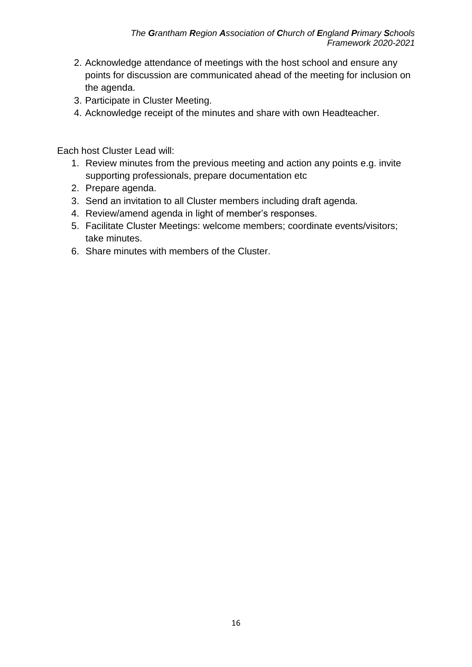- 2. Acknowledge attendance of meetings with the host school and ensure any points for discussion are communicated ahead of the meeting for inclusion on the agenda.
- 3. Participate in Cluster Meeting.
- 4. Acknowledge receipt of the minutes and share with own Headteacher.

Each host Cluster Lead will:

- 1. Review minutes from the previous meeting and action any points e.g. invite supporting professionals, prepare documentation etc
- 2. Prepare agenda.
- 3. Send an invitation to all Cluster members including draft agenda.
- 4. Review/amend agenda in light of member's responses.
- 5. Facilitate Cluster Meetings: welcome members; coordinate events/visitors; take minutes.
- 6. Share minutes with members of the Cluster.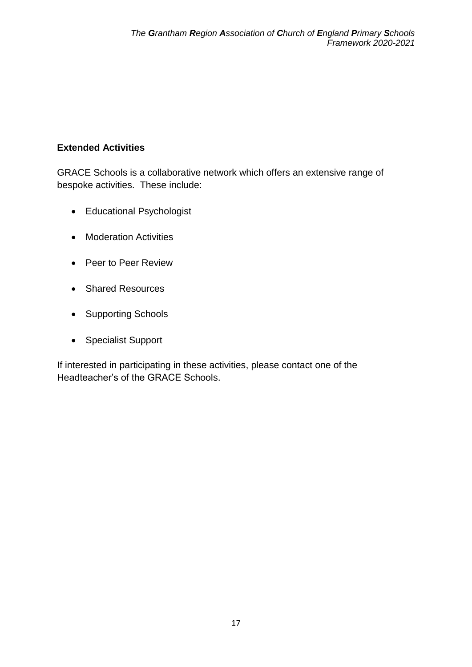## <span id="page-16-0"></span>**Extended Activities**

GRACE Schools is a collaborative network which offers an extensive range of bespoke activities. These include:

- Educational Psychologist
- Moderation Activities
- Peer to Peer Review
- Shared Resources
- Supporting Schools
- Specialist Support

If interested in participating in these activities, please contact one of the Headteacher's of the GRACE Schools.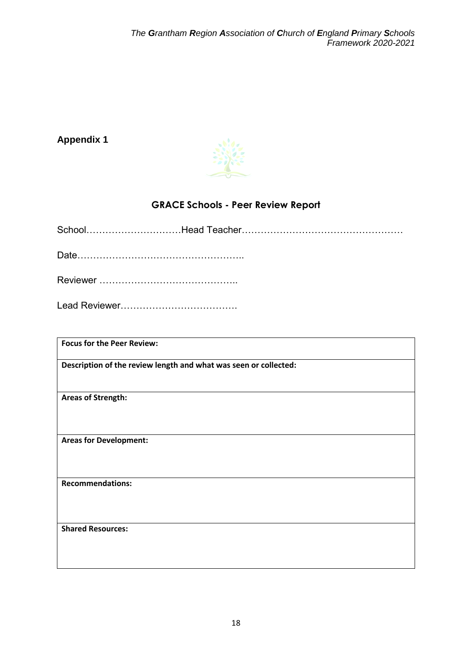# <span id="page-17-0"></span>**Appendix 1**



# **GRACE Schools - Peer Review Report**

<span id="page-17-1"></span>

| <b>Focus for the Peer Review:</b>                                |
|------------------------------------------------------------------|
| Description of the review length and what was seen or collected: |
| <b>Areas of Strength:</b>                                        |
| <b>Areas for Development:</b>                                    |
| <b>Recommendations:</b>                                          |
| <b>Shared Resources:</b>                                         |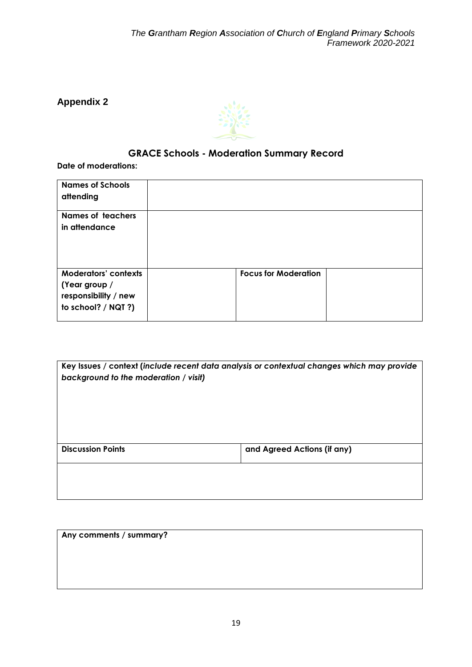<span id="page-18-0"></span>**Appendix 2**



# **GRACE Schools - Moderation Summary Record**

<span id="page-18-1"></span>**Date of moderations:**

| <b>Names of Schools</b><br>attending                                                        |                             |  |
|---------------------------------------------------------------------------------------------|-----------------------------|--|
| <b>Names of teachers</b><br>in attendance                                                   |                             |  |
| <b>Moderators' contexts</b><br>(Year group /<br>responsibility / new<br>to school? / NQT ?) | <b>Focus for Moderation</b> |  |

| Key Issues / context (include recent data analysis or contextual changes which may provide<br>background to the moderation / visit) |                             |  |
|-------------------------------------------------------------------------------------------------------------------------------------|-----------------------------|--|
|                                                                                                                                     |                             |  |
| <b>Discussion Points</b>                                                                                                            | and Agreed Actions (if any) |  |
|                                                                                                                                     |                             |  |

|  | Any comments / summary? |  |  |
|--|-------------------------|--|--|
|--|-------------------------|--|--|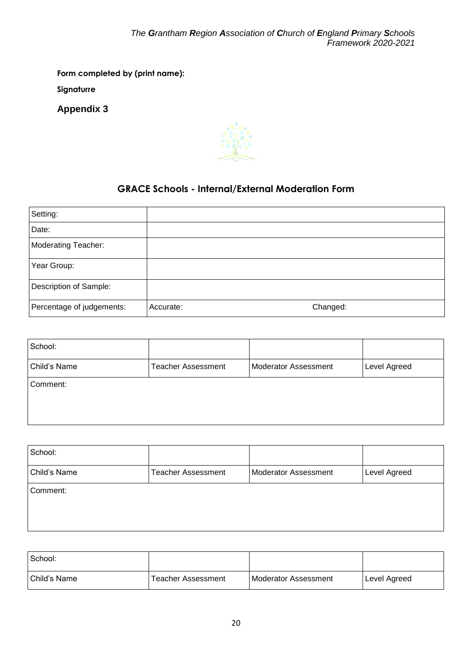**Form completed by (print name):** 

**Signaturre**

<span id="page-19-0"></span>**Appendix 3**



# **GRACE Schools - Internal/External Moderation Form**

<span id="page-19-1"></span>

| Setting:                   |           |          |
|----------------------------|-----------|----------|
| Date:                      |           |          |
| <b>Moderating Teacher:</b> |           |          |
| Year Group:                |           |          |
| Description of Sample:     |           |          |
| Percentage of judgements:  | Accurate: | Changed: |

| School:      |                           |                             |              |
|--------------|---------------------------|-----------------------------|--------------|
| Child's Name | <b>Teacher Assessment</b> | <b>Moderator Assessment</b> | Level Agreed |
| Comment:     |                           |                             |              |
|              |                           |                             |              |

| School:      |                           |                             |              |
|--------------|---------------------------|-----------------------------|--------------|
| Child's Name | <b>Teacher Assessment</b> | <b>Moderator Assessment</b> | Level Agreed |
| Comment:     |                           |                             |              |
|              |                           |                             |              |
|              |                           |                             |              |

| l School:    |                    |                        |              |
|--------------|--------------------|------------------------|--------------|
| Child's Name | Teacher Assessment | l Moderator Assessment | Level Agreed |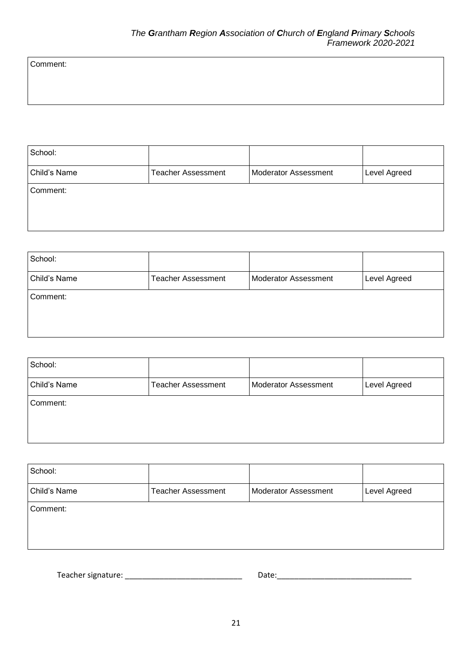Comment:

| School:      |                           |                             |              |
|--------------|---------------------------|-----------------------------|--------------|
| Child's Name | <b>Teacher Assessment</b> | <b>Moderator Assessment</b> | Level Agreed |
| Comment:     |                           |                             |              |
|              |                           |                             |              |
|              |                           |                             |              |

| School:      |                           |                      |              |
|--------------|---------------------------|----------------------|--------------|
| Child's Name | <b>Teacher Assessment</b> | Moderator Assessment | Level Agreed |
| Comment:     |                           |                      |              |
|              |                           |                      |              |
|              |                           |                      |              |

| School:      |                           |                             |              |
|--------------|---------------------------|-----------------------------|--------------|
| Child's Name | <b>Teacher Assessment</b> | <b>Moderator Assessment</b> | Level Agreed |
| Comment:     |                           |                             |              |
|              |                           |                             |              |
|              |                           |                             |              |

| School:      |                           |                             |              |
|--------------|---------------------------|-----------------------------|--------------|
| Child's Name | <b>Teacher Assessment</b> | <b>Moderator Assessment</b> | Level Agreed |
| Comment:     |                           |                             |              |

Teacher signature: \_\_\_\_\_\_\_\_\_\_\_\_\_\_\_\_\_\_\_\_\_\_\_\_\_\_\_ Date:\_\_\_\_\_\_\_\_\_\_\_\_\_\_\_\_\_\_\_\_\_\_\_\_\_\_\_\_\_\_\_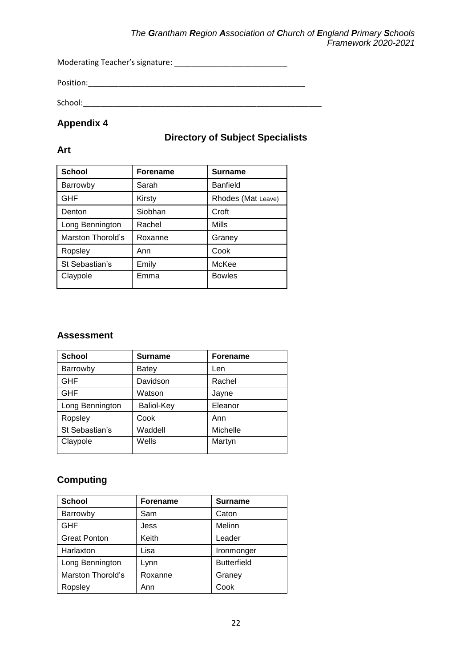#### *The Grantham Region Association of Church of England Primary Schools Framework 2020-2021*

Moderating Teacher's signature: \_\_\_\_\_\_\_\_\_\_\_\_\_\_\_\_\_\_\_\_\_\_\_\_\_\_

Position:\_\_\_\_\_\_\_\_\_\_\_\_\_\_\_\_\_\_\_\_\_\_\_\_\_\_\_\_\_\_\_\_\_\_\_\_\_\_\_\_\_\_\_\_\_\_\_\_\_\_

School:\_\_\_\_\_\_\_\_\_\_\_\_\_\_\_\_\_\_\_\_\_\_\_\_\_\_\_\_\_\_\_\_\_\_\_\_\_\_\_\_\_\_\_\_\_\_\_\_\_\_\_\_\_\_\_

#### <span id="page-21-1"></span><span id="page-21-0"></span>**Appendix 4**

### **Directory of Subject Specialists**

#### **Art**

| <b>School</b>            | <b>Forename</b> | <b>Surname</b>     |
|--------------------------|-----------------|--------------------|
| Barrowby                 | Sarah           | <b>Banfield</b>    |
| <b>GHF</b>               | Kirsty          | Rhodes (Mat Leave) |
| Denton                   | Siobhan         | Croft              |
| Long Bennington          | Rachel          | Mills              |
| <b>Marston Thorold's</b> | Roxanne         | Graney             |
| Ropsley                  | Ann             | Cook               |
| St Sebastian's           | Emily           | McKee              |
| Claypole                 | Emma            | <b>Bowles</b>      |

#### **Assessment**

| <b>School</b>   | <b>Surname</b>    | <b>Forename</b> |
|-----------------|-------------------|-----------------|
| Barrowby        | <b>Batey</b>      | Len             |
| <b>GHF</b>      | Davidson          | Rachel          |
| <b>GHF</b>      | Watson            | Jayne           |
| Long Bennington | <b>Baliol-Key</b> | Eleanor         |
| Ropsley         | Cook              | Ann             |
| St Sebastian's  | Waddell           | Michelle        |
| Claypole        | Wells             | Martyn          |

### **Computing**

| <b>School</b>            | <b>Forename</b> | <b>Surname</b>     |
|--------------------------|-----------------|--------------------|
| Barrowby                 | Sam             | Caton              |
| <b>GHF</b>               | Jess            | Melinn             |
| <b>Great Ponton</b>      | Keith           | Leader             |
| Harlaxton                | Lisa            | Ironmonger         |
| Long Bennington          | Lynn            | <b>Butterfield</b> |
| <b>Marston Thorold's</b> | Roxanne         | Graney             |
| Ropsley                  | Ann             | Cook               |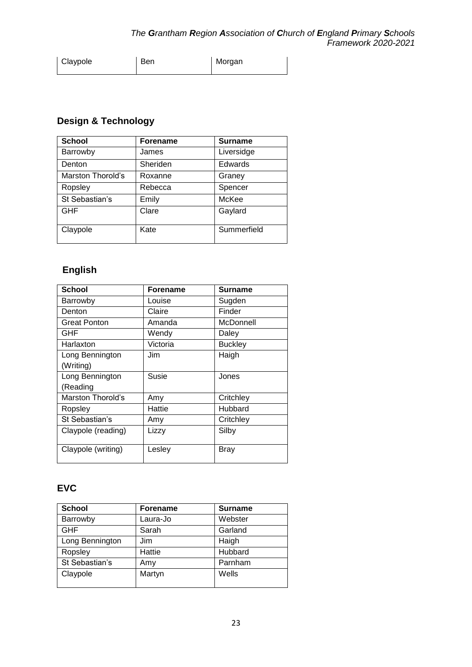| Claypole | Ben | Morgan |
|----------|-----|--------|
|          |     |        |

# **Design & Technology**

| <b>School</b>     | <b>Forename</b> | <b>Surname</b> |
|-------------------|-----------------|----------------|
| Barrowby          | James           | Liversidge     |
| Denton            | Sheriden        | Edwards        |
| Marston Thorold's | Roxanne         | Graney         |
| Ropsley           | Rebecca         | Spencer        |
| St Sebastian's    | Emily           | McKee          |
| <b>GHF</b>        | Clare           | Gaylard        |
| Claypole          | Kate            | Summerfield    |

# **English**

| <b>School</b>       | <b>Forename</b> | Surname        |
|---------------------|-----------------|----------------|
| Barrowby            | Louise          | Sugden         |
| Denton              | Claire          | Finder         |
| <b>Great Ponton</b> | Amanda          | McDonnell      |
| GHF                 | Wendy           | Daley          |
| Harlaxton           | Victoria        | <b>Buckley</b> |
| Long Bennington     | Jim             | Haigh          |
| (Writing)           |                 |                |
| Long Bennington     | <b>Susie</b>    | Jones          |
| (Reading            |                 |                |
| Marston Thorold's   | Amy             | Critchley      |
| Ropsley             | Hattie          | Hubbard        |
| St Sebastian's      | Amy             | Critchley      |
| Claypole (reading)  | Lizzy           | Silby          |
| Claypole (writing)  | Lesley          | Bray           |

### **EVC**

| <b>School</b>   | <b>Forename</b> | <b>Surname</b> |
|-----------------|-----------------|----------------|
| Barrowby        | Laura-Jo        | Webster        |
| <b>GHF</b>      | Sarah           | Garland        |
| Long Bennington | Jim             | Haigh          |
| Ropsley         | Hattie          | Hubbard        |
| St Sebastian's  | Amy             | Parnham        |
| Claypole        | Martyn          | Wells          |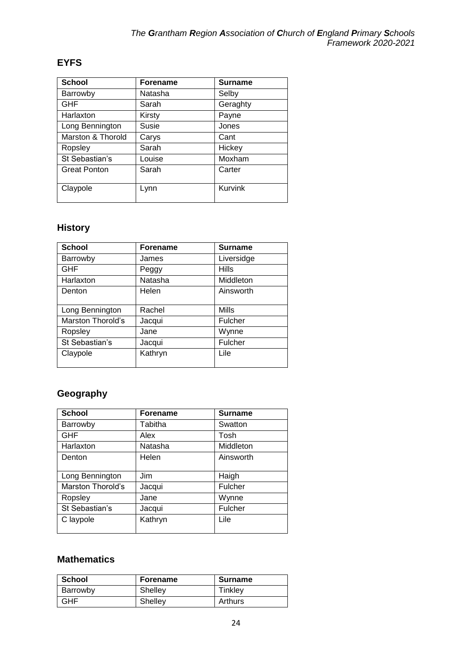## **EYFS**

| <b>School</b>       | <b>Forename</b> | <b>Surname</b> |
|---------------------|-----------------|----------------|
| Barrowby            | Natasha         | Selby          |
| <b>GHF</b>          | Sarah           | Geraghty       |
| Harlaxton           | Kirsty          | Payne          |
| Long Bennington     | Susie           | Jones          |
| Marston & Thorold   | Carys           | Cant           |
| Ropsley             | Sarah           | Hickey         |
| St Sebastian's      | Louise          | Moxham         |
| <b>Great Ponton</b> | Sarah           | Carter         |
| Claypole            | Lynn            | Kurvink        |

# **History**

| <b>School</b>     | <b>Forename</b> | <b>Surname</b> |
|-------------------|-----------------|----------------|
| Barrowby          | James           | Liversidge     |
| <b>GHF</b>        | Peggy           | <b>Hills</b>   |
| Harlaxton         | Natasha         | Middleton      |
| Denton            | Helen           | Ainsworth      |
|                   |                 |                |
| Long Bennington   | Rachel          | <b>Mills</b>   |
| Marston Thorold's | Jacqui          | Fulcher        |
| Ropsley           | Jane            | Wynne          |
| St Sebastian's    | Jacqui          | Fulcher        |
| Claypole          | Kathryn         | Lile           |
|                   |                 |                |

# **Geography**

| <b>School</b>     | <b>Forename</b> | <b>Surname</b> |
|-------------------|-----------------|----------------|
| Barrowby          | Tabitha         | Swatton        |
| <b>GHF</b>        | Alex            | Tosh           |
| Harlaxton         | Natasha         | Middleton      |
| Denton            | Helen           | Ainsworth      |
|                   |                 |                |
| Long Bennington   | Jim             | Haigh          |
| Marston Thorold's | Jacqui          | Fulcher        |
| Ropsley           | Jane            | Wynne          |
| St Sebastian's    | Jacqui          | Fulcher        |
| C laypole         | Kathryn         | Lile           |
|                   |                 |                |

## **Mathematics**

| School     | <b>Forename</b> | <b>Surname</b> |
|------------|-----------------|----------------|
| Barrowby   | Shelley         | Tinkley        |
| <b>GHF</b> | Shelley         | Arthurs        |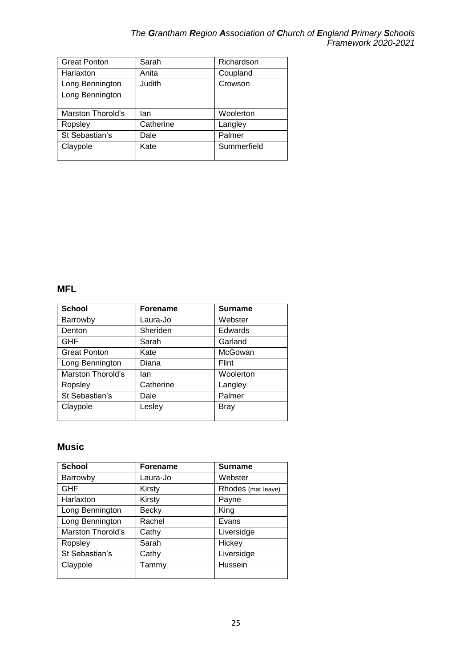#### *The Grantham Region Association of Church of England Primary Schools Framework 2020-2021*

| <b>Great Ponton</b> | Sarah     | Richardson  |
|---------------------|-----------|-------------|
| Harlaxton           | Anita     | Coupland    |
| Long Bennington     | Judith    | Crowson     |
| Long Bennington     |           |             |
|                     |           |             |
| Marston Thorold's   | lan       | Woolerton   |
|                     |           |             |
| Ropsley             | Catherine | Langley     |
| St Sebastian's      | Dale      | Palmer      |
| Claypole            | Kate      | Summerfield |

#### **MFL**

| <b>School</b>       | <b>Forename</b> | <b>Surname</b> |
|---------------------|-----------------|----------------|
| Barrowby            | Laura-Jo        | Webster        |
| Denton              | Sheriden        | Edwards        |
| <b>GHF</b>          | Sarah           | Garland        |
| <b>Great Ponton</b> | Kate            | McGowan        |
| Long Bennington     | Diana           | Flint          |
| Marston Thorold's   | lan             | Woolerton      |
| Ropsley             | Catherine       | Langley        |
| St Sebastian's      | Dale            | Palmer         |
| Claypole            | Lesley          | <b>Bray</b>    |

#### **Music**

| <b>School</b>     | <b>Forename</b> | <b>Surname</b>     |
|-------------------|-----------------|--------------------|
| Barrowby          | Laura-Jo        | Webster            |
| <b>GHF</b>        | Kirsty          | Rhodes (mat leave) |
| Harlaxton         | Kirsty          | Payne              |
| Long Bennington   | Becky           | King               |
| Long Bennington   | Rachel          | Evans              |
| Marston Thorold's | Cathy           | Liversidge         |
| Ropsley           | Sarah           | Hickey             |
| St Sebastian's    | Cathy           | Liversidge         |
| Claypole          | Tammy           | Hussein            |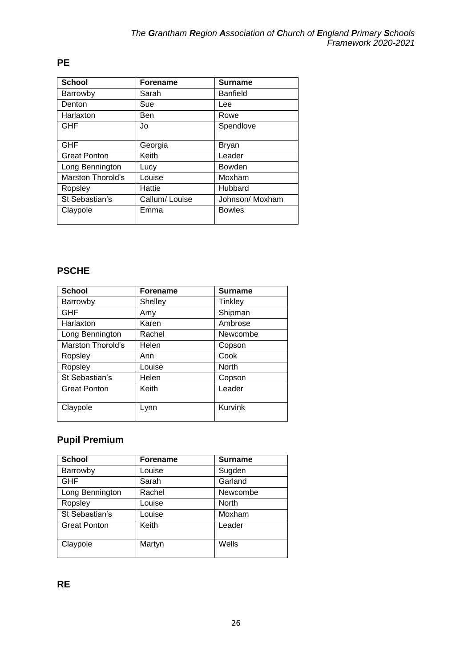| <b>School</b>            | <b>Forename</b> | <b>Surname</b>  |
|--------------------------|-----------------|-----------------|
| Barrowby                 | Sarah           | <b>Banfield</b> |
| Denton                   | Sue             | Lee             |
| Harlaxton                | Ben             | Rowe            |
| <b>GHF</b>               | Jo              | Spendlove       |
| <b>GHF</b>               | Georgia         | Bryan           |
| <b>Great Ponton</b>      | Keith           | Leader          |
| Long Bennington          | Lucy            | Bowden          |
| <b>Marston Thorold's</b> | Louise          | Moxham          |
| Ropsley                  | Hattie          | Hubbard         |
| St Sebastian's           | Callum/Louise   | Johnson/ Moxham |
| Claypole                 | Emma            | <b>Bowles</b>   |

# **PE**

## **PSCHE**

| <b>School</b>            | <b>Forename</b> | <b>Surname</b> |
|--------------------------|-----------------|----------------|
| Barrowby                 | Shelley         | Tinkley        |
| <b>GHF</b>               | Amy             | Shipman        |
| Harlaxton                | Karen           | Ambrose        |
| Long Bennington          | Rachel          | Newcombe       |
| <b>Marston Thorold's</b> | Helen           | Copson         |
| Ropsley                  | Ann             | Cook           |
| Ropsley                  | Louise          | North          |
| St Sebastian's           | Helen           | Copson         |
| <b>Great Ponton</b>      | Keith           | Leader         |
| Claypole                 | Lynn            | Kurvink        |

# **Pupil Premium**

| <b>School</b>       | <b>Forename</b> | <b>Surname</b> |
|---------------------|-----------------|----------------|
| Barrowby            | Louise          | Sugden         |
| <b>GHF</b>          | Sarah           | Garland        |
| Long Bennington     | Rachel          | Newcombe       |
| Ropsley             | Louise          | <b>North</b>   |
| St Sebastian's      | Louise          | Moxham         |
| <b>Great Ponton</b> | Keith           | Leader         |
| Claypole            | Martyn          | Wells          |

**RE**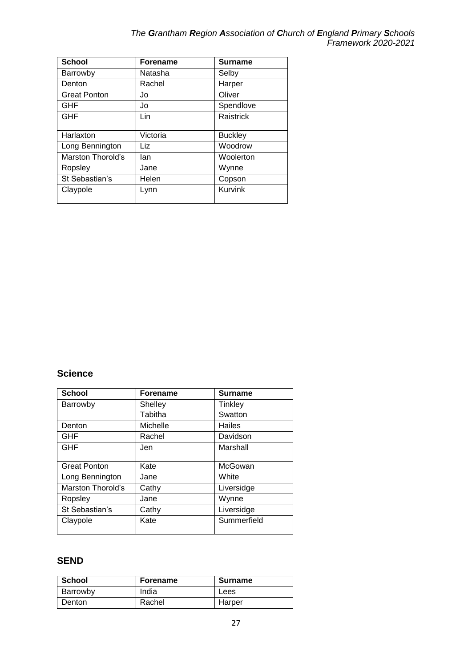| The Grantham Region Association of Church of England Primary Schools |  |                     |
|----------------------------------------------------------------------|--|---------------------|
|                                                                      |  | Framework 2020-2021 |

| <b>School</b>       | <b>Forename</b> | <b>Surname</b> |
|---------------------|-----------------|----------------|
| Barrowby            | Natasha         | Selby          |
| Denton              | Rachel          | Harper         |
| <b>Great Ponton</b> | Jo              | Oliver         |
| GHF                 | Jo              | Spendlove      |
| GHF                 | Lin             | Raistrick      |
| Harlaxton           | Victoria        | <b>Buckley</b> |
| Long Bennington     | Liz             | Woodrow        |
| Marston Thorold's   | lan             | Woolerton      |
| Ropsley             | Jane            | Wynne          |
| St Sebastian's      | Helen           | Copson         |
| Claypole            | Lynn            | Kurvink        |

# **Science**

| <b>Forename</b> | <b>Surname</b> |
|-----------------|----------------|
| Shelley         | Tinkley        |
| Tabitha         | Swatton        |
| Michelle        | Hailes         |
| Rachel          | Davidson       |
| Jen             | Marshall       |
|                 |                |
| Kate            | McGowan        |
| Jane            | White          |
| Cathy           | Liversidge     |
| Jane            | Wynne          |
| Cathy           | Liversidge     |
| Kate            | Summerfield    |
|                 |                |

#### **SEND**

| School   | <b>Forename</b> | <b>Surname</b> |
|----------|-----------------|----------------|
| Barrowby | India           | Lees           |
| Denton   | Rachel          | Harper         |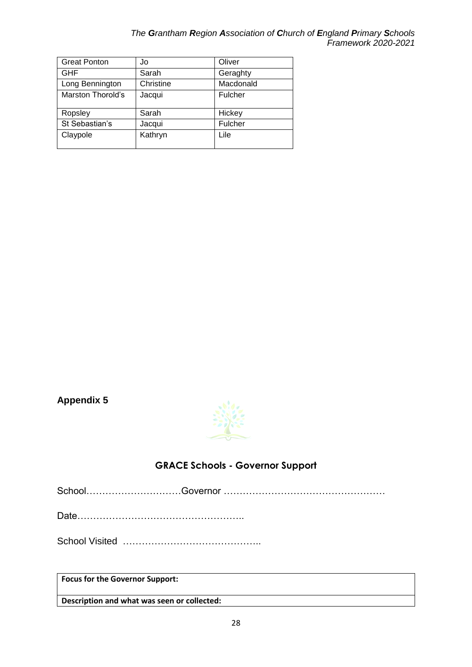#### *The Grantham Region Association of Church of England Primary Schools Framework 2020-2021*

| <b>Great Ponton</b> | Jo        | Oliver    |
|---------------------|-----------|-----------|
| <b>GHF</b>          | Sarah     | Geraghty  |
| Long Bennington     | Christine | Macdonald |
| Marston Thorold's   | Jacqui    | Fulcher   |
| Ropsley             | Sarah     | Hickey    |
| St Sebastian's      | Jacqui    | Fulcher   |
| Claypole            | Kathryn   | Lile      |

## <span id="page-27-0"></span>**Appendix 5**



# **GRACE Schools - Governor Support**

<span id="page-27-1"></span>School…………………………Governor ……………………………………………

Date……………………………………………..

School Visited ……………………………………..

**Focus for the Governor Support:**

**Description and what was seen or collected:**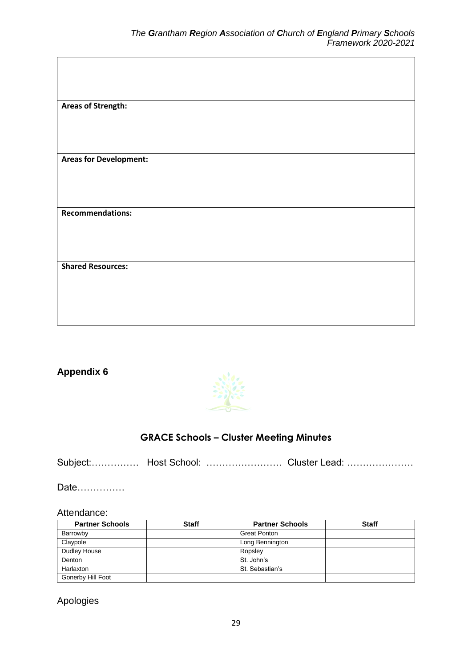$\overline{\phantom{a}}$ 

| <b>Areas of Strength:</b>     |
|-------------------------------|
|                               |
|                               |
|                               |
| <b>Areas for Development:</b> |
|                               |
|                               |
|                               |
| <b>Recommendations:</b>       |
|                               |
|                               |
|                               |
| <b>Shared Resources:</b>      |
|                               |
|                               |
|                               |

#### <span id="page-28-0"></span>**Appendix 6**

 $\mathsf{r}$ 



#### **GRACE Schools – Cluster Meeting Minutes**

<span id="page-28-1"></span>Subject:……………… Host School: ……………………… Cluster Lead: ……………………

Date……………

#### Attendance:

| <b>Partner Schools</b> | <b>Staff</b> | <b>Partner Schools</b> | <b>Staff</b> |
|------------------------|--------------|------------------------|--------------|
| Barrowby               |              | Great Ponton           |              |
| Claypole               |              | Long Bennington        |              |
| Dudley House           |              | Ropsley                |              |
| Denton                 |              | St. John's             |              |
| Harlaxton              |              | St. Sebastian's        |              |
| Gonerby Hill Foot      |              |                        |              |

Apologies